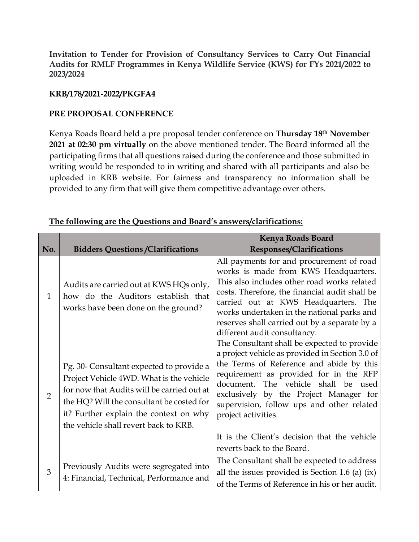**Invitation to Tender for Provision of Consultancy Services to Carry Out Financial Audits for RMLF Programmes in Kenya Wildlife Service (KWS) for FYs 2021/2022 to 2023/2024**

## **KRB/178/2021-2022/PKGFA4**

## **PRE PROPOSAL CONFERENCE**

Kenya Roads Board held a pre proposal tender conference on **Thursday 18th November 2021 at 02:30 pm virtually** on the above mentioned tender. The Board informed all the participating firms that all questions raised during the conference and those submitted in writing would be responded to in writing and shared with all participants and also be uploaded in KRB website. For fairness and transparency no information shall be provided to any firm that will give them competitive advantage over others.

|                |                                                                                                                                                                                                                                                                    | <b>Kenya Roads Board</b>                                                                                                                                                                                                                                                                                                                                                                  |
|----------------|--------------------------------------------------------------------------------------------------------------------------------------------------------------------------------------------------------------------------------------------------------------------|-------------------------------------------------------------------------------------------------------------------------------------------------------------------------------------------------------------------------------------------------------------------------------------------------------------------------------------------------------------------------------------------|
| No.            | <b>Bidders Questions / Clarifications</b>                                                                                                                                                                                                                          | Responses/Clarifications                                                                                                                                                                                                                                                                                                                                                                  |
| $\mathbf{1}$   | Audits are carried out at KWS HQs only,<br>how do the Auditors establish that<br>works have been done on the ground?                                                                                                                                               | All payments for and procurement of road<br>works is made from KWS Headquarters.<br>This also includes other road works related<br>costs. Therefore, the financial audit shall be<br>carried out at KWS Headquarters. The<br>works undertaken in the national parks and<br>reserves shall carried out by a separate by a<br>different audit consultancy.                                  |
| $\overline{2}$ | Pg. 30- Consultant expected to provide a<br>Project Vehicle 4WD. What is the vehicle<br>for now that Audits will be carried out at<br>the HQ? Will the consultant be costed for<br>it? Further explain the context on why<br>the vehicle shall revert back to KRB. | The Consultant shall be expected to provide<br>a project vehicle as provided in Section 3.0 of<br>the Terms of Reference and abide by this<br>requirement as provided for in the RFP<br>document. The vehicle shall be used<br>exclusively by the Project Manager for<br>supervision, follow ups and other related<br>project activities.<br>It is the Client's decision that the vehicle |
|                |                                                                                                                                                                                                                                                                    | reverts back to the Board.                                                                                                                                                                                                                                                                                                                                                                |
| 3              | Previously Audits were segregated into<br>4: Financial, Technical, Performance and                                                                                                                                                                                 | The Consultant shall be expected to address<br>all the issues provided is Section 1.6 (a) $(ix)$<br>of the Terms of Reference in his or her audit.                                                                                                                                                                                                                                        |

## **The following are the Questions and Board's answers/clarifications:**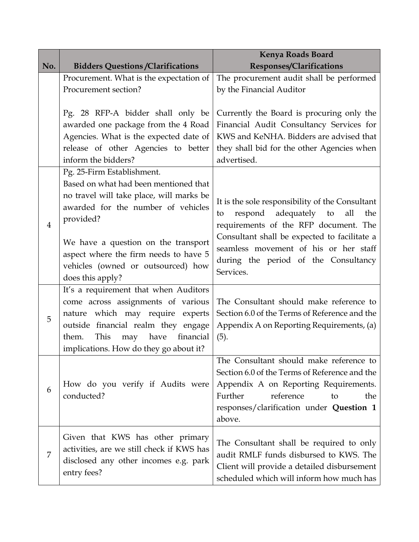|                |                                                                                                                                                                                                                                                                                                              | <b>Kenya Roads Board</b>                                                                                                                                                                                                                                                                  |
|----------------|--------------------------------------------------------------------------------------------------------------------------------------------------------------------------------------------------------------------------------------------------------------------------------------------------------------|-------------------------------------------------------------------------------------------------------------------------------------------------------------------------------------------------------------------------------------------------------------------------------------------|
| No.            | <b>Bidders Questions / Clarifications</b>                                                                                                                                                                                                                                                                    | Responses/Clarifications                                                                                                                                                                                                                                                                  |
|                | Procurement. What is the expectation of<br>Procurement section?                                                                                                                                                                                                                                              | The procurement audit shall be performed<br>by the Financial Auditor                                                                                                                                                                                                                      |
|                | Pg. 28 RFP-A bidder shall only be<br>awarded one package from the 4 Road<br>Agencies. What is the expected date of<br>release of other Agencies to better<br>inform the bidders?                                                                                                                             | Currently the Board is procuring only the<br>Financial Audit Consultancy Services for<br>KWS and KeNHA. Bidders are advised that<br>they shall bid for the other Agencies when<br>advertised.                                                                                             |
| $\overline{4}$ | Pg. 25-Firm Establishment.<br>Based on what had been mentioned that<br>no travel will take place, will marks be<br>awarded for the number of vehicles<br>provided?<br>We have a question on the transport<br>aspect where the firm needs to have 5<br>vehicles (owned or outsourced) how<br>does this apply? | It is the sole responsibility of the Consultant<br>respond<br>adequately<br>all<br>to<br>the<br>to<br>requirements of the RFP document. The<br>Consultant shall be expected to facilitate a<br>seamless movement of his or her staff<br>during the period of the Consultancy<br>Services. |
| 5              | It's a requirement that when Auditors<br>come across assignments of various<br>nature which may require experts<br>outside financial realm they engage<br>This<br>financial<br>them.<br>have<br>may<br>implications. How do they go about it?                                                                | The Consultant should make reference to<br>Section 6.0 of the Terms of Reference and the<br>Appendix A on Reporting Requirements, (a)<br>(5).                                                                                                                                             |
| 6              | How do you verify if Audits were<br>conducted?                                                                                                                                                                                                                                                               | The Consultant should make reference to<br>Section 6.0 of the Terms of Reference and the<br>Appendix A on Reporting Requirements.<br>reference<br>Further<br>the<br>to<br>responses/clarification under Question 1<br>above.                                                              |
| 7              | Given that KWS has other primary<br>activities, are we still check if KWS has<br>disclosed any other incomes e.g. park<br>entry fees?                                                                                                                                                                        | The Consultant shall be required to only<br>audit RMLF funds disbursed to KWS. The<br>Client will provide a detailed disbursement<br>scheduled which will inform how much has                                                                                                             |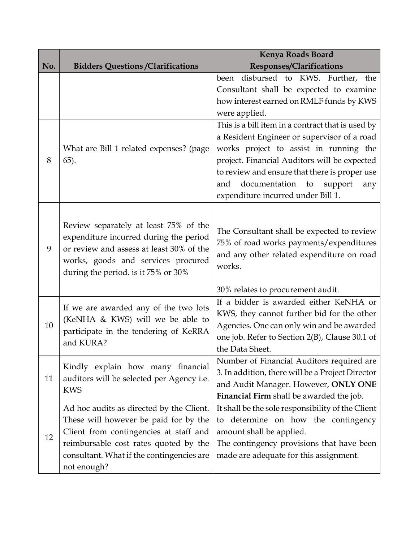|     |                                                                                                                                 | <b>Kenya Roads Board</b>                                          |
|-----|---------------------------------------------------------------------------------------------------------------------------------|-------------------------------------------------------------------|
| No. | <b>Bidders Questions / Clarifications</b>                                                                                       | Responses/Clarifications                                          |
|     |                                                                                                                                 | been disbursed to KWS. Further, the                               |
|     |                                                                                                                                 | Consultant shall be expected to examine                           |
|     |                                                                                                                                 | how interest earned on RMLF funds by KWS                          |
|     |                                                                                                                                 | were applied.                                                     |
|     |                                                                                                                                 | This is a bill item in a contract that is used by                 |
|     |                                                                                                                                 | a Resident Engineer or supervisor of a road                       |
|     | What are Bill 1 related expenses? (page                                                                                         | works project to assist in running the                            |
| 8   | $(65)$ .                                                                                                                        | project. Financial Auditors will be expected                      |
|     |                                                                                                                                 | to review and ensure that there is proper use                     |
|     |                                                                                                                                 | and<br>documentation<br>to<br>support<br>any                      |
|     |                                                                                                                                 | expenditure incurred under Bill 1.                                |
|     |                                                                                                                                 |                                                                   |
|     | Review separately at least 75% of the                                                                                           |                                                                   |
|     | expenditure incurred during the period                                                                                          | The Consultant shall be expected to review                        |
| 9   | or review and assess at least 30% of the                                                                                        | 75% of road works payments/expenditures                           |
|     | works, goods and services procured                                                                                              | and any other related expenditure on road                         |
|     | during the period. is it 75% or 30%                                                                                             | works.                                                            |
|     |                                                                                                                                 |                                                                   |
|     |                                                                                                                                 | 30% relates to procurement audit.                                 |
|     | If we are awarded any of the two lots<br>(KeNHA & KWS) will we be able to<br>participate in the tendering of KeRRA<br>and KURA? | If a bidder is awarded either KeNHA or                            |
|     |                                                                                                                                 | KWS, they cannot further bid for the other                        |
| 10  |                                                                                                                                 | Agencies. One can only win and be awarded                         |
|     |                                                                                                                                 | one job. Refer to Section 2(B), Clause 30.1 of<br>the Data Sheet. |
|     |                                                                                                                                 |                                                                   |
|     | Kindly explain how many financial<br>auditors will be selected per Agency i.e.<br><b>KWS</b>                                    | Number of Financial Auditors required are                         |
| 11  |                                                                                                                                 | 3. In addition, there will be a Project Director                  |
|     |                                                                                                                                 | and Audit Manager. However, ONLY ONE                              |
|     |                                                                                                                                 | Financial Firm shall be awarded the job.                          |
| 12  | Ad hoc audits as directed by the Client.                                                                                        | It shall be the sole responsibility of the Client                 |
|     | These will however be paid for by the                                                                                           | determine on how the contingency<br>to                            |
|     | Client from contingencies at staff and                                                                                          | amount shall be applied.                                          |
|     | reimbursable cost rates quoted by the                                                                                           | The contingency provisions that have been                         |
|     | consultant. What if the contingencies are                                                                                       | made are adequate for this assignment.                            |
|     | not enough?                                                                                                                     |                                                                   |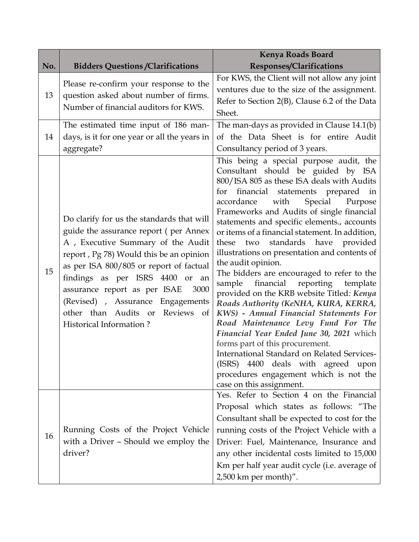| Responses/Clarifications                                                                                                                                                                                                                                                                                                                                                                                                                                                                                                                                                                                                                                                                                                                                                                                                                                                                                                                                                                                                                                                                                                                                                                            |
|-----------------------------------------------------------------------------------------------------------------------------------------------------------------------------------------------------------------------------------------------------------------------------------------------------------------------------------------------------------------------------------------------------------------------------------------------------------------------------------------------------------------------------------------------------------------------------------------------------------------------------------------------------------------------------------------------------------------------------------------------------------------------------------------------------------------------------------------------------------------------------------------------------------------------------------------------------------------------------------------------------------------------------------------------------------------------------------------------------------------------------------------------------------------------------------------------------|
| For KWS, the Client will not allow any joint<br>Please re-confirm your response to the<br>ventures due to the size of the assignment.<br>question asked about number of firms.<br>Refer to Section 2(B), Clause 6.2 of the Data<br>Sheet.                                                                                                                                                                                                                                                                                                                                                                                                                                                                                                                                                                                                                                                                                                                                                                                                                                                                                                                                                           |
| The man-days as provided in Clause 14.1(b)<br>The estimated time input of 186 man-<br>days, is it for one year or all the years in<br>of the Data Sheet is for entire Audit<br>Consultancy period of 3 years.                                                                                                                                                                                                                                                                                                                                                                                                                                                                                                                                                                                                                                                                                                                                                                                                                                                                                                                                                                                       |
| This being a special purpose audit, the<br>Consultant should be guided by ISA<br>800/ISA 805 as these ISA deals with Audits<br>for financial statements prepared in<br>Special<br>accordance<br>with<br>Purpose<br>Frameworks and Audits of single financial<br>Do clarify for us the standards that will<br>statements and specific elements., accounts<br>guide the assurance report (per Annex<br>or items of a financial statement. In addition,<br>A , Executive Summary of the Audit<br>these two standards have provided<br>illustrations on presentation and contents of<br>report, Pg 78) Would this be an opinion<br>the audit opinion.<br>as per ISA 800/805 or report of factual<br>The bidders are encouraged to refer to the<br>sample financial<br>reporting template<br>provided on the KRB website Titled: Kenya<br>Roads Authority (KeNHA, KURA, KERRA,<br>KWS) - Annual Financial Statements For<br>Road Maintenance Levy Fund For The<br>Financial Year Ended June 30, 2021 which<br>forms part of this procurement.<br>International Standard on Related Services-<br>(ISRS) 4400 deals with agreed upon<br>procedures engagement which is not the<br>case on this assignment. |
| Yes. Refer to Section 4 on the Financial<br>Proposal which states as follows: "The<br>Consultant shall be expected to cost for the<br>running costs of the Project Vehicle with a<br>Driver: Fuel, Maintenance, Insurance and<br>any other incidental costs limited to 15,000<br>Km per half year audit cycle (i.e. average of<br>2,500 km per month)".                                                                                                                                                                                                                                                                                                                                                                                                                                                                                                                                                                                                                                                                                                                                                                                                                                             |
| findings as per ISRS 4400 or an<br>3000<br>(Revised) , Assurance Engagements<br>- of<br>Running Costs of the Project Vehicle<br>with a Driver - Should we employ the                                                                                                                                                                                                                                                                                                                                                                                                                                                                                                                                                                                                                                                                                                                                                                                                                                                                                                                                                                                                                                |